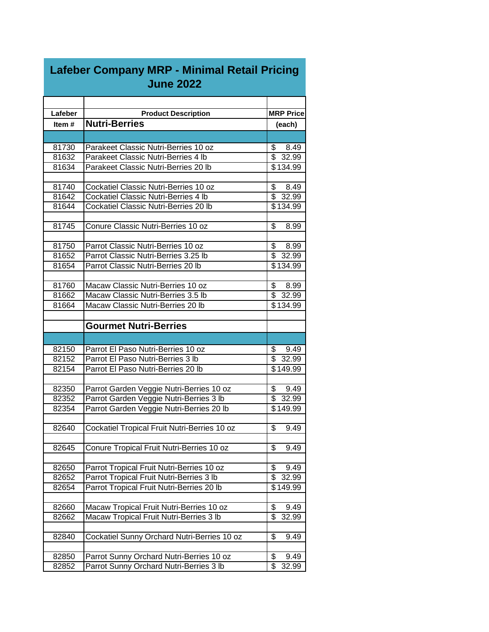| Lafeber | <b>Product Description</b>                   | <b>MRP Price</b>                 |
|---------|----------------------------------------------|----------------------------------|
| Item#   | <b>Nutri-Berries</b>                         | (each)                           |
|         |                                              |                                  |
| 81730   | Parakeet Classic Nutri-Berries 10 oz         | \$<br>8.49                       |
| 81632   | Parakeet Classic Nutri-Berries 4 lb          | $\overline{\mathbb{S}}$<br>32.99 |
| 81634   | Parakeet Classic Nutri-Berries 20 lb         | \$134.99                         |
|         |                                              |                                  |
| 81740   | Cockatiel Classic Nutri-Berries 10 oz        | \$<br>8.49                       |
| 81642   | Cockatiel Classic Nutri-Berries 4 lb         | \$<br>32.99                      |
| 81644   | Cockatiel Classic Nutri-Berries 20 lb        | \$134.99                         |
|         |                                              |                                  |
| 81745   | Conure Classic Nutri-Berries 10 oz           | \$<br>8.99                       |
|         |                                              |                                  |
| 81750   | Parrot Classic Nutri-Berries 10 oz           | \$<br>8.99                       |
| 81652   | Parrot Classic Nutri-Berries 3.25 lb         | $\overline{\$}$<br>32.99         |
| 81654   | Parrot Classic Nutri-Berries 20 lb           | \$134.99                         |
|         |                                              |                                  |
| 81760   | Macaw Classic Nutri-Berries 10 oz            | \$8.99                           |
| 81662   | Macaw Classic Nutri-Berries 3.5 lb           | \$32.99                          |
| 81664   | Macaw Classic Nutri-Berries 20 lb            | \$134.99                         |
|         | <b>Gourmet Nutri-Berries</b>                 |                                  |
|         |                                              |                                  |
|         |                                              |                                  |
| 82150   | Parrot El Paso Nutri-Berries 10 oz           | \$<br>9.49                       |
| 82152   | Parrot El Paso Nutri-Berries 3 lb            | \$<br>32.99                      |
| 82154   | Parrot El Paso Nutri-Berries 20 lb           | $\sqrt{$149.99}$                 |
|         |                                              |                                  |
| 82350   | Parrot Garden Veggie Nutri-Berries 10 oz     | \$<br>9.49                       |
| 82352   | Parrot Garden Veggie Nutri-Berries 3 lb      | $\overline{\$}$ 32.99            |
| 82354   | Parrot Garden Veggie Nutri-Berries 20 lb     | \$149.99                         |
| 82640   |                                              | \$<br>9.49                       |
|         | Cockatiel Tropical Fruit Nutri-Berries 10 oz |                                  |
| 82645   | Conure Tropical Fruit Nutri-Berries 10 oz    | \$<br>9.49                       |
|         |                                              |                                  |
| 82650   | Parrot Tropical Fruit Nutri-Berries 10 oz    | \$<br>9.49                       |
| 82652   | Parrot Tropical Fruit Nutri-Berries 3 lb     | \$<br>32.99                      |
| 82654   | Parrot Tropical Fruit Nutri-Berries 20 lb    | \$149.99                         |
|         |                                              |                                  |
| 82660   | Macaw Tropical Fruit Nutri-Berries 10 oz     | \$<br>9.49                       |
| 82662   | Macaw Tropical Fruit Nutri-Berries 3 lb      | \$<br>32.99                      |
|         |                                              |                                  |
| 82840   | Cockatiel Sunny Orchard Nutri-Berries 10 oz  | \$<br>9.49                       |
|         |                                              |                                  |
| 82850   | Parrot Sunny Orchard Nutri-Berries 10 oz     | \$<br>9.49                       |
| 82852   | Parrot Sunny Orchard Nutri-Berries 3 lb      | \$<br>32.99                      |

## **Lafeber Company MRP - Minimal Retail Pricing June 2022**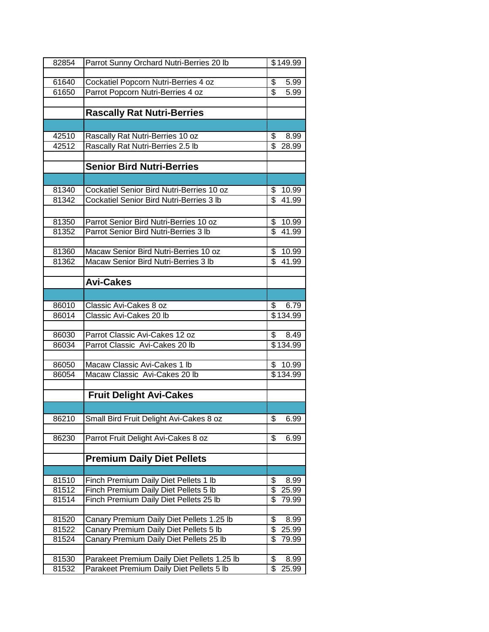| 82854 | Parrot Sunny Orchard Nutri-Berries 20 lb                                                | \$149.99                         |
|-------|-----------------------------------------------------------------------------------------|----------------------------------|
|       |                                                                                         |                                  |
| 61640 | Cockatiel Popcorn Nutri-Berries 4 oz                                                    | \$<br>5.99                       |
| 61650 | Parrot Popcorn Nutri-Berries 4 oz                                                       | $\overline{\$}$<br>5.99          |
|       |                                                                                         |                                  |
|       | <b>Rascally Rat Nutri-Berries</b>                                                       |                                  |
|       |                                                                                         |                                  |
| 42510 | Rascally Rat Nutri-Berries 10 oz                                                        | \$<br>8.99                       |
| 42512 | Rascally Rat Nutri-Berries 2.5 lb                                                       | \$<br>28.99                      |
|       |                                                                                         |                                  |
|       | <b>Senior Bird Nutri-Berries</b>                                                        |                                  |
|       |                                                                                         |                                  |
| 81340 | Cockatiel Senior Bird Nutri-Berries 10 oz                                               | \$<br>10.99                      |
| 81342 | <b>Cockatiel Senior Bird Nutri-Berries 3 lb</b>                                         | $\overline{\mathbb{S}}$<br>41.99 |
|       |                                                                                         |                                  |
| 81350 | Parrot Senior Bird Nutri-Berries 10 oz                                                  | \$<br>10.99                      |
| 81352 | Parrot Senior Bird Nutri-Berries 3 lb                                                   | $\overline{\mathbb{S}}$<br>41.99 |
|       |                                                                                         |                                  |
| 81360 | Macaw Senior Bird Nutri-Berries 10 oz                                                   | \$<br>10.99                      |
| 81362 | Macaw Senior Bird Nutri-Berries 3 lb                                                    | $\overline{\mathbb{S}}$<br>41.99 |
|       |                                                                                         |                                  |
|       | <b>Avi-Cakes</b>                                                                        |                                  |
|       |                                                                                         |                                  |
| 86010 | Classic Avi-Cakes 8 oz                                                                  | \$<br>6.79                       |
| 86014 | Classic Avi-Cakes 20 lb                                                                 | \$134.99                         |
|       |                                                                                         |                                  |
| 86030 | Parrot Classic Avi-Cakes 12 oz                                                          | \$<br>8.49                       |
| 86034 | Parrot Classic Avi-Cakes 20 lb                                                          | \$134.99                         |
| 86050 | Macaw Classic Avi-Cakes 1 lb                                                            | \$10.99                          |
| 86054 | Macaw Classic Avi-Cakes 20 lb                                                           | \$134.99                         |
|       |                                                                                         |                                  |
|       | <b>Fruit Delight Avi-Cakes</b>                                                          |                                  |
|       |                                                                                         |                                  |
| 86210 | Small Bird Fruit Delight Avi-Cakes 8 oz                                                 | \$<br>6.99                       |
|       |                                                                                         |                                  |
| 86230 | Parrot Fruit Delight Avi-Cakes 8 oz                                                     | \$<br>6.99                       |
|       |                                                                                         |                                  |
|       | <b>Premium Daily Diet Pellets</b>                                                       |                                  |
|       |                                                                                         |                                  |
| 81510 | Finch Premium Daily Diet Pellets 1 lb                                                   | \$<br>8.99                       |
| 81512 | Finch Premium Daily Diet Pellets 5 lb                                                   | \$<br>25.99                      |
| 81514 | Finch Premium Daily Diet Pellets 25 lb                                                  | \$<br>79.99                      |
|       |                                                                                         |                                  |
| 81520 | Canary Premium Daily Diet Pellets 1.25 lb                                               | \$<br>8.99                       |
| 81522 | Canary Premium Daily Diet Pellets 5 lb                                                  | \$<br>25.99                      |
| 81524 | Canary Premium Daily Diet Pellets 25 lb                                                 | \$<br>79.99                      |
|       |                                                                                         |                                  |
| 81530 | Parakeet Premium Daily Diet Pellets 1.25 lb<br>Parakeet Premium Daily Diet Pellets 5 lb | \$<br>8.99<br>\$                 |
| 81532 |                                                                                         | 25.99                            |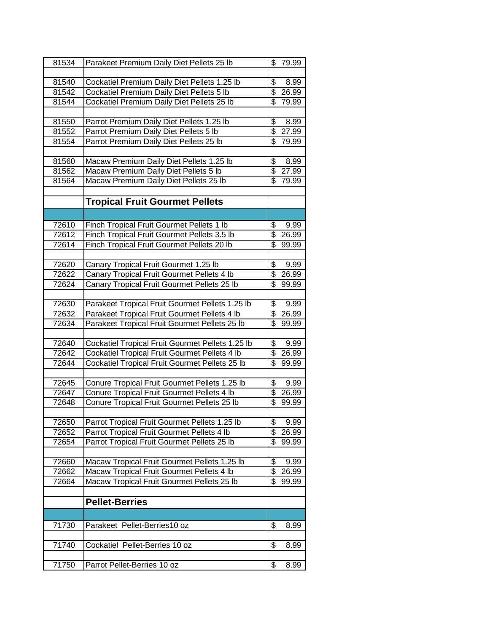| 81534          | Parakeet Premium Daily Diet Pellets 25 lb                                                   | \$                      | 79.99         |
|----------------|---------------------------------------------------------------------------------------------|-------------------------|---------------|
|                |                                                                                             |                         |               |
| 81540          | Cockatiel Premium Daily Diet Pellets 1.25 lb                                                | \$                      | 8.99          |
| 81542          | Cockatiel Premium Daily Diet Pellets 5 lb                                                   | $\overline{\mathbb{S}}$ | 26.99         |
| 81544          | Cockatiel Premium Daily Diet Pellets 25 lb                                                  | \$                      | 79.99         |
|                |                                                                                             |                         |               |
| 81550          | Parrot Premium Daily Diet Pellets 1.25 lb                                                   | \$                      | 8.99          |
| 81552          | Parrot Premium Daily Diet Pellets 5 lb                                                      | \$                      | 27.99         |
| 81554          | Parrot Premium Daily Diet Pellets 25 lb                                                     | \$                      | 79.99         |
|                |                                                                                             |                         |               |
| 81560          | Macaw Premium Daily Diet Pellets 1.25 lb                                                    | \$                      | 8.99          |
| 81562          | Macaw Premium Daily Diet Pellets 5 lb                                                       | \$                      | 27.99         |
| 81564          | Macaw Premium Daily Diet Pellets 25 lb                                                      | \$                      | 79.99         |
|                |                                                                                             |                         |               |
|                | <b>Tropical Fruit Gourmet Pellets</b>                                                       |                         |               |
|                |                                                                                             |                         |               |
| 72610          | Finch Tropical Fruit Gourmet Pellets 1 lb                                                   | \$                      | 9.99          |
| 72612          | Finch Tropical Fruit Gourmet Pellets 3.5 lb                                                 | \$                      | 26.99         |
| 72614          | Finch Tropical Fruit Gourmet Pellets 20 lb                                                  | \$                      | 99.99         |
|                |                                                                                             |                         |               |
| 72620          | Canary Tropical Fruit Gourmet 1.25 lb                                                       | \$                      | 9.99          |
| 72622          | Canary Tropical Fruit Gourmet Pellets 4 lb                                                  | \$                      | 26.99         |
| 72624          | Canary Tropical Fruit Gourmet Pellets 25 lb                                                 | \$                      | 99.99         |
|                |                                                                                             |                         |               |
| 72630          | Parakeet Tropical Fruit Gourmet Pellets 1.25 lb                                             | \$                      | 9.99          |
| 72632          | Parakeet Tropical Fruit Gourmet Pellets 4 lb                                                | \$                      | 26.99         |
| 72634          | Parakeet Tropical Fruit Gourmet Pellets 25 lb                                               | $\overline{\mathbf{S}}$ | 99.99         |
|                |                                                                                             |                         |               |
| 72640          | Cockatiel Tropical Fruit Gourmet Pellets 1.25 lb                                            | \$                      | 9.99          |
| 72642          | Cockatiel Tropical Fruit Gourmet Pellets 4 lb                                               | \$                      | 26.99         |
| 72644          | Cockatiel Tropical Fruit Gourmet Pellets 25 lb                                              | \$                      | 99.99         |
|                |                                                                                             |                         |               |
| 72645<br>72647 | Conure Tropical Fruit Gourmet Pellets 1.25 lb<br>Conure Tropical Fruit Gourmet Pellets 4 lb | \$<br>\$                | 9.99<br>26.99 |
| 72648          | Conure Tropical Fruit Gourmet Pellets 25 lb                                                 | \$                      | 99.99         |
|                |                                                                                             |                         |               |
| 72650          | Parrot Tropical Fruit Gourmet Pellets 1.25 lb                                               | \$                      | 9.99          |
| 72652          | Parrot Tropical Fruit Gourmet Pellets 4 lb                                                  | \$                      | 26.99         |
| 72654          | Parrot Tropical Fruit Gourmet Pellets 25 lb                                                 | \$                      | 99.99         |
|                |                                                                                             |                         |               |
| 72660          | Macaw Tropical Fruit Gourmet Pellets 1.25 lb                                                | \$                      | 9.99          |
| 72662          | Macaw Tropical Fruit Gourmet Pellets 4 lb                                                   | \$                      | 26.99         |
| 72664          | Macaw Tropical Fruit Gourmet Pellets 25 lb                                                  | \$                      | 99.99         |
|                |                                                                                             |                         |               |
|                | <b>Pellet-Berries</b>                                                                       |                         |               |
|                |                                                                                             |                         |               |
| 71730          | Parakeet Pellet-Berries10 oz                                                                | \$                      | 8.99          |
|                |                                                                                             |                         |               |
| 71740          | Cockatiel Pellet-Berries 10 oz                                                              | \$                      | 8.99          |
|                |                                                                                             |                         |               |
| 71750          | Parrot Pellet-Berries 10 oz                                                                 | \$                      | 8.99          |
|                |                                                                                             |                         |               |